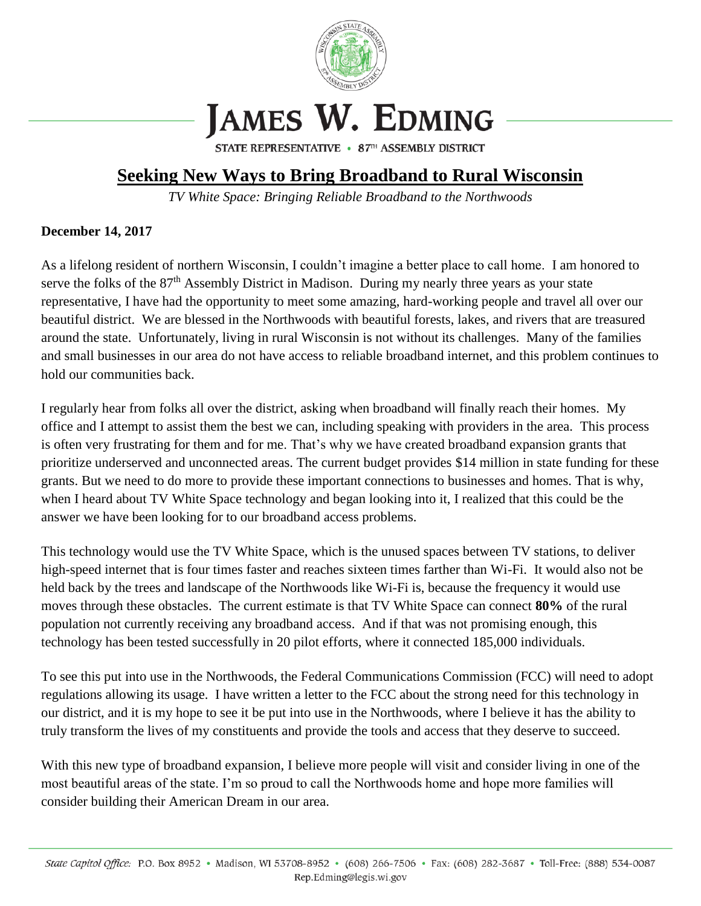

## **JAMES W. EDMING**

STATE REPRESENTATIVE • 87TH ASSEMBLY DISTRICT

## **Seeking New Ways to Bring Broadband to Rural Wisconsin**

*TV White Space: Bringing Reliable Broadband to the Northwoods*

## **December 14, 2017**

As a lifelong resident of northern Wisconsin, I couldn't imagine a better place to call home. I am honored to serve the folks of the  $87<sup>th</sup>$  Assembly District in Madison. During my nearly three years as your state representative, I have had the opportunity to meet some amazing, hard-working people and travel all over our beautiful district. We are blessed in the Northwoods with beautiful forests, lakes, and rivers that are treasured around the state. Unfortunately, living in rural Wisconsin is not without its challenges. Many of the families and small businesses in our area do not have access to reliable broadband internet, and this problem continues to hold our communities back.

I regularly hear from folks all over the district, asking when broadband will finally reach their homes. My office and I attempt to assist them the best we can, including speaking with providers in the area. This process is often very frustrating for them and for me. That's why we have created broadband expansion grants that prioritize underserved and unconnected areas. The current budget provides \$14 million in state funding for these grants. But we need to do more to provide these important connections to businesses and homes. That is why, when I heard about TV White Space technology and began looking into it, I realized that this could be the answer we have been looking for to our broadband access problems.

This technology would use the TV White Space, which is the unused spaces between TV stations, to deliver high-speed internet that is four times faster and reaches sixteen times farther than Wi-Fi. It would also not be held back by the trees and landscape of the Northwoods like Wi-Fi is, because the frequency it would use moves through these obstacles. The current estimate is that TV White Space can connect **80%** of the rural population not currently receiving any broadband access. And if that was not promising enough, this technology has been tested successfully in 20 pilot efforts, where it connected 185,000 individuals.

To see this put into use in the Northwoods, the Federal Communications Commission (FCC) will need to adopt regulations allowing its usage. I have written a letter to the FCC about the strong need for this technology in our district, and it is my hope to see it be put into use in the Northwoods, where I believe it has the ability to truly transform the lives of my constituents and provide the tools and access that they deserve to succeed.

With this new type of broadband expansion, I believe more people will visit and consider living in one of the most beautiful areas of the state. I'm so proud to call the Northwoods home and hope more families will consider building their American Dream in our area.